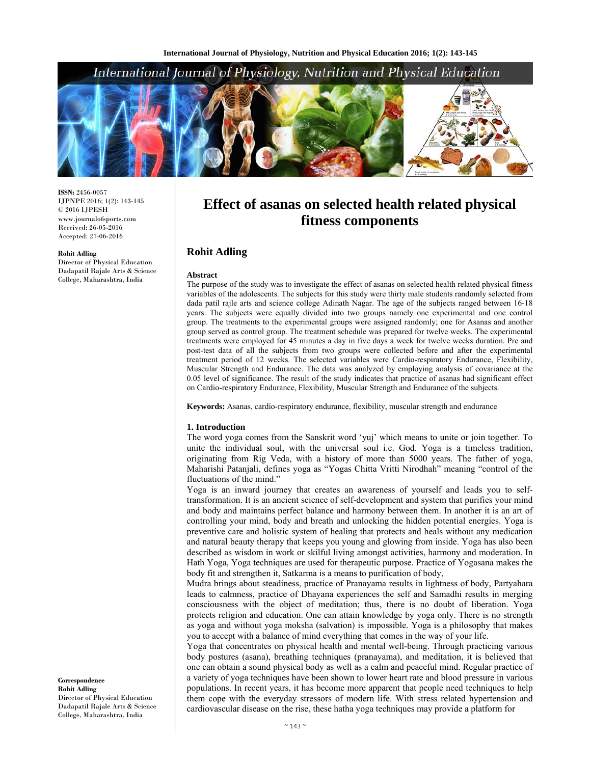# International Journal of Physiology, Nutrition and Physical Education



**ISSN:** 2456-0057 IJPNPE 2016; 1(2): 143-145 © 2016 IJPESH www.journalofsports.com Received: 26-05-2016 Accepted: 27-06-2016

#### **Rohit Adling**

Director of Physical Education Dadapatil Rajale Arts & Science College, Maharashtra, India

**Effect of asanas on selected health related physical fitness components**

# **Rohit Adling**

#### **Abstract**

The purpose of the study was to investigate the effect of asanas on selected health related physical fitness variables of the adolescents. The subjects for this study were thirty male students randomly selected from dada patil rajle arts and science college Adinath Nagar. The age of the subjects ranged between 16-18 years. The subjects were equally divided into two groups namely one experimental and one control group. The treatments to the experimental groups were assigned randomly; one for Asanas and another group served as control group. The treatment schedule was prepared for twelve weeks. The experimental treatments were employed for 45 minutes a day in five days a week for twelve weeks duration. Pre and post-test data of all the subjects from two groups were collected before and after the experimental treatment period of 12 weeks. The selected variables were Cardio-respiratory Endurance, Flexibility, Muscular Strength and Endurance. The data was analyzed by employing analysis of covariance at the 0.05 level of significance. The result of the study indicates that practice of asanas had significant effect on Cardio-respiratory Endurance, Flexibility, Muscular Strength and Endurance of the subjects.

**Keywords:** Asanas, cardio-respiratory endurance, flexibility, muscular strength and endurance

#### **1. Introduction**

The word yoga comes from the Sanskrit word 'yuj' which means to unite or join together. To unite the individual soul, with the universal soul i.e. God. Yoga is a timeless tradition, originating from Rig Veda, with a history of more than 5000 years. The father of yoga, Maharishi Patanjali, defines yoga as "Yogas Chitta Vritti Nirodhah" meaning "control of the fluctuations of the mind."

Yoga is an inward journey that creates an awareness of yourself and leads you to selftransformation. It is an ancient science of self-development and system that purifies your mind and body and maintains perfect balance and harmony between them. In another it is an art of controlling your mind, body and breath and unlocking the hidden potential energies. Yoga is preventive care and holistic system of healing that protects and heals without any medication and natural beauty therapy that keeps you young and glowing from inside. Yoga has also been described as wisdom in work or skilful living amongst activities, harmony and moderation. In Hath Yoga, Yoga techniques are used for therapeutic purpose. Practice of Yogasana makes the body fit and strengthen it, Satkarma is a means to purification of body,

Mudra brings about steadiness, practice of Pranayama results in lightness of body, Partyahara leads to calmness, practice of Dhayana experiences the self and Samadhi results in merging consciousness with the object of meditation; thus, there is no doubt of liberation. Yoga protects religion and education. One can attain knowledge by yoga only. There is no strength as yoga and without yoga moksha (salvation) is impossible. Yoga is a philosophy that makes you to accept with a balance of mind everything that comes in the way of your life.

Yoga that concentrates on physical health and mental well-being. Through practicing various body postures (asana), breathing techniques (pranayama), and meditation, it is believed that one can obtain a sound physical body as well as a calm and peaceful mind. Regular practice of a variety of yoga techniques have been shown to lower heart rate and blood pressure in various populations. In recent years, it has become more apparent that people need techniques to help them cope with the everyday stressors of modern life. With stress related hypertension and cardiovascular disease on the rise, these hatha yoga techniques may provide a platform for

**Correspondence Rohit Adling**  Director of Physical Education Dadapatil Rajale Arts & Science College, Maharashtra, India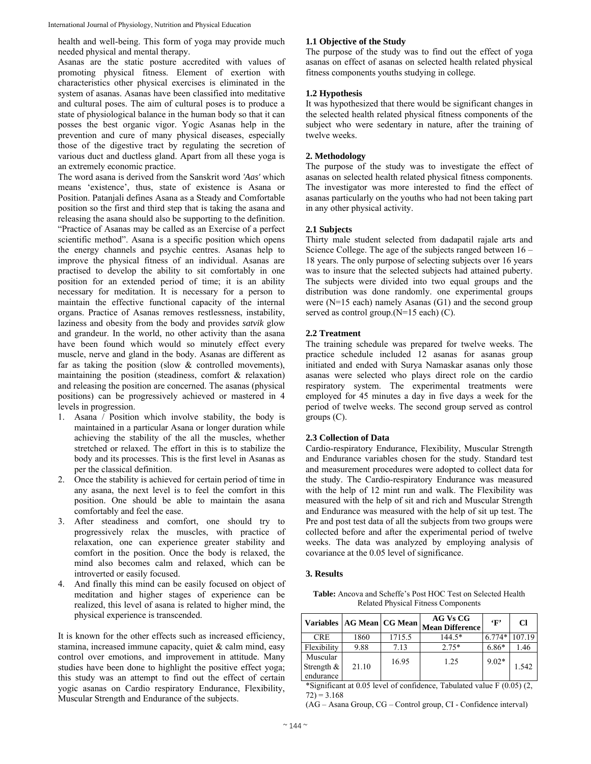International Journal of Physiology, Nutrition and Physical Education

health and well-being. This form of yoga may provide much needed physical and mental therapy.

Asanas are the static posture accredited with values of promoting physical fitness. Element of exertion with characteristics other physical exercises is eliminated in the system of asanas. Asanas have been classified into meditative and cultural poses. The aim of cultural poses is to produce a state of physiological balance in the human body so that it can posses the best organic vigor. Yogic Asanas help in the prevention and cure of many physical diseases, especially those of the digestive tract by regulating the secretion of various duct and ductless gland. Apart from all these yoga is an extremely economic practice.

The word asana is derived from the Sanskrit word *'Aas'* which means 'existence', thus, state of existence is Asana or Position. Patanjali defines Asana as a Steady and Comfortable position so the first and third step that is taking the asana and releasing the asana should also be supporting to the definition. "Practice of Asanas may be called as an Exercise of a perfect scientific method". Asana is a specific position which opens the energy channels and psychic centres. Asanas help to improve the physical fitness of an individual. Asanas are practised to develop the ability to sit comfortably in one position for an extended period of time; it is an ability necessary for meditation. It is necessary for a person to maintain the effective functional capacity of the internal organs. Practice of Asanas removes restlessness, instability, laziness and obesity from the body and provides *satvik* glow and grandeur. In the world, no other activity than the asana have been found which would so minutely effect every muscle, nerve and gland in the body. Asanas are different as far as taking the position (slow & controlled movements), maintaining the position (steadiness, comfort & relaxation) and releasing the position are concerned. The asanas (physical positions) can be progressively achieved or mastered in 4 levels in progression.

- 1. Asana / Position which involve stability, the body is maintained in a particular Asana or longer duration while achieving the stability of the all the muscles, whether stretched or relaxed. The effort in this is to stabilize the body and its processes. This is the first level in Asanas as per the classical definition.
- 2. Once the stability is achieved for certain period of time in any asana, the next level is to feel the comfort in this position. One should be able to maintain the asana comfortably and feel the ease.
- 3. After steadiness and comfort, one should try to progressively relax the muscles, with practice of relaxation, one can experience greater stability and comfort in the position. Once the body is relaxed, the mind also becomes calm and relaxed, which can be introverted or easily focused.
- 4. And finally this mind can be easily focused on object of meditation and higher stages of experience can be realized, this level of asana is related to higher mind, the physical experience is transcended.

It is known for the other effects such as increased efficiency, stamina, increased immune capacity, quiet & calm mind, easy control over emotions, and improvement in attitude. Many studies have been done to highlight the positive effect yoga; this study was an attempt to find out the effect of certain yogic asanas on Cardio respiratory Endurance, Flexibility, Muscular Strength and Endurance of the subjects.

# **1.1 Objective of the Study**

The purpose of the study was to find out the effect of yoga asanas on effect of asanas on selected health related physical fitness components youths studying in college.

# **1.2 Hypothesis**

It was hypothesized that there would be significant changes in the selected health related physical fitness components of the subject who were sedentary in nature, after the training of twelve weeks.

# **2. Methodology**

The purpose of the study was to investigate the effect of asanas on selected health related physical fitness components. The investigator was more interested to find the effect of asanas particularly on the youths who had not been taking part in any other physical activity.

### **2.1 Subjects**

Thirty male student selected from dadapatil rajale arts and Science College. The age of the subjects ranged between 16 – 18 years. The only purpose of selecting subjects over 16 years was to insure that the selected subjects had attained puberty. The subjects were divided into two equal groups and the distribution was done randomly. one experimental groups were (N=15 each) namely Asanas (G1) and the second group served as control group.(N=15 each) (C).

### **2.2 Treatment**

The training schedule was prepared for twelve weeks. The practice schedule included 12 asanas for asanas group initiated and ended with Surya Namaskar asanas only those asanas were selected who plays direct role on the cardio respiratory system. The experimental treatments were employed for 45 minutes a day in five days a week for the period of twelve weeks. The second group served as control groups (C).

### **2.3 Collection of Data**

Cardio-respiratory Endurance, Flexibility, Muscular Strength and Endurance variables chosen for the study. Standard test and measurement procedures were adopted to collect data for the study. The Cardio-respiratory Endurance was measured with the help of 12 mint run and walk. The Flexibility was measured with the help of sit and rich and Muscular Strength and Endurance was measured with the help of sit up test. The Pre and post test data of all the subjects from two groups were collected before and after the experimental period of twelve weeks. The data was analyzed by employing analysis of covariance at the 0.05 level of significance.

#### **3. Results**

**Table:** Ancova and Scheffe's Post HOC Test on Selected Health Related Physical Fitness Components

|                                        | Variables   AG Mean   CG Mean |        | AG Vs CG<br><b>Mean Difference</b> | $\cdot_F$ | Cl     |
|----------------------------------------|-------------------------------|--------|------------------------------------|-----------|--------|
| <b>CRE</b>                             | 1860                          | 1715.5 | $144.5*$                           | $6.774*$  | 107.19 |
| Flexibility                            | 9.88                          | 7.13   | $2.75*$                            | $6.86*$   | 1.46   |
| Muscular<br>Strength $\&$<br>endurance | 21.10                         | 16.95  | 1.25                               | $9.02*$   | 1.542  |

\*Significant at 0.05 level of confidence, Tabulated value F (0.05) (2,  $72$ ) = 3.168

(AG – Asana Group, CG – Control group, CI - Confidence interval)